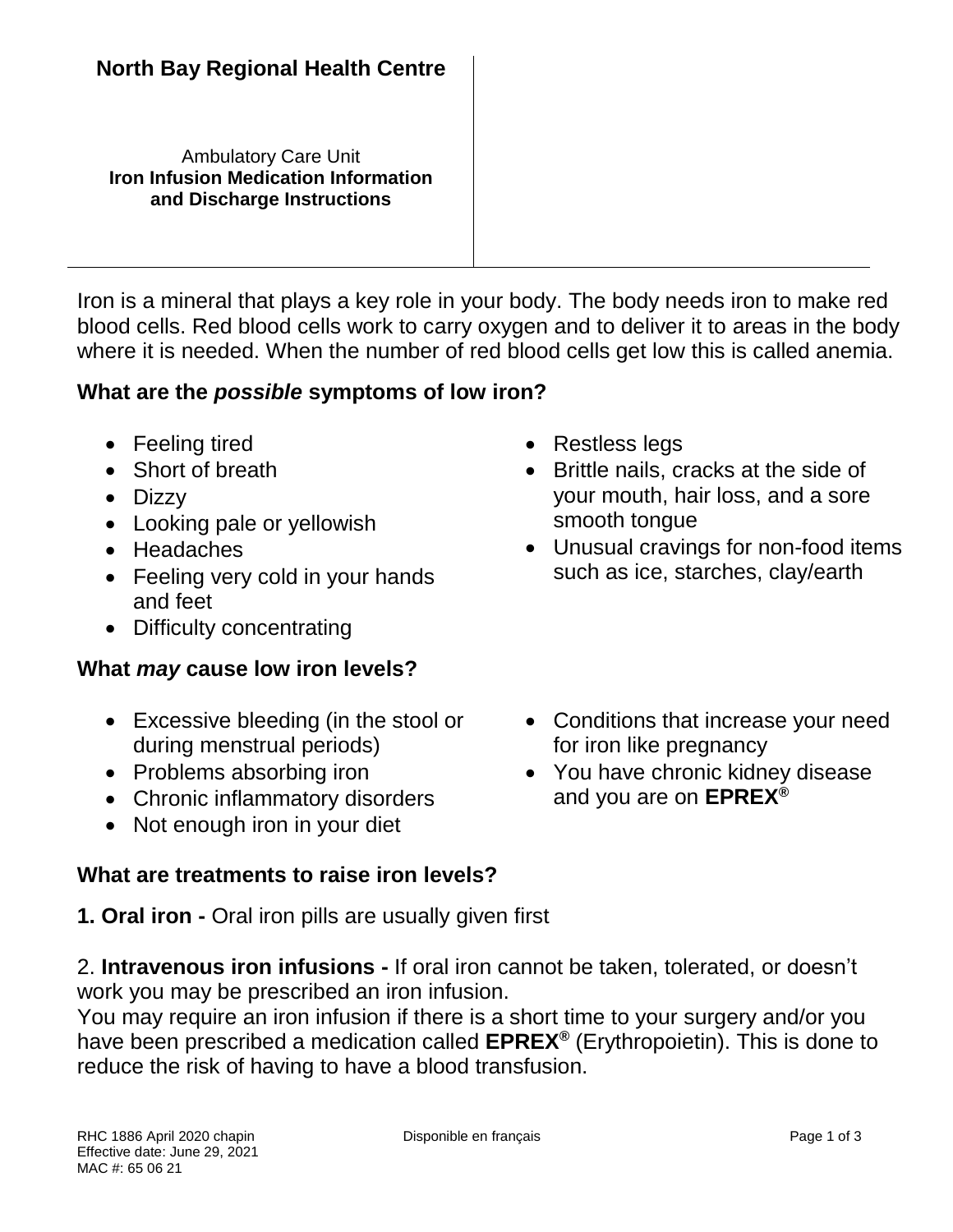Ambulatory Care Unit **Iron Infusion Medication Information and Discharge Instructions**

Iron is a mineral that plays a key role in your body. The body needs iron to make red blood cells. Red blood cells work to carry oxygen and to deliver it to areas in the body where it is needed. When the number of red blood cells get low this is called anemia.

### **What are the** *possible* **symptoms of low iron?**

- Feeling tired
- Short of breath
- Dizzy
- Looking pale or yellowish
- Headaches
- Feeling very cold in your hands and feet
- Difficulty concentrating

## **What** *may* **cause low iron levels?**

- Excessive bleeding (in the stool or during menstrual periods)
- Problems absorbing iron
- Chronic inflammatory disorders
- Not enough iron in your diet

#### **What are treatments to raise iron levels?**

**1. Oral iron -** Oral iron pills are usually given first

- Restless legs
- Brittle nails, cracks at the side of your mouth, hair loss, and a sore smooth tongue
- Unusual cravings for non-food items such as ice, starches, clay/earth
- Conditions that increase your need for iron like pregnancy
- You have chronic kidney disease and you are on **EPREX®**

2. **Intravenous iron infusions -** If oral iron cannot be taken, tolerated, or doesn't

work you may be prescribed an iron infusion. You may require an iron infusion if there is a short time to your surgery and/or you have been prescribed a medication called **EPREX®** (Erythropoietin). This is done to reduce the risk of having to have a blood transfusion.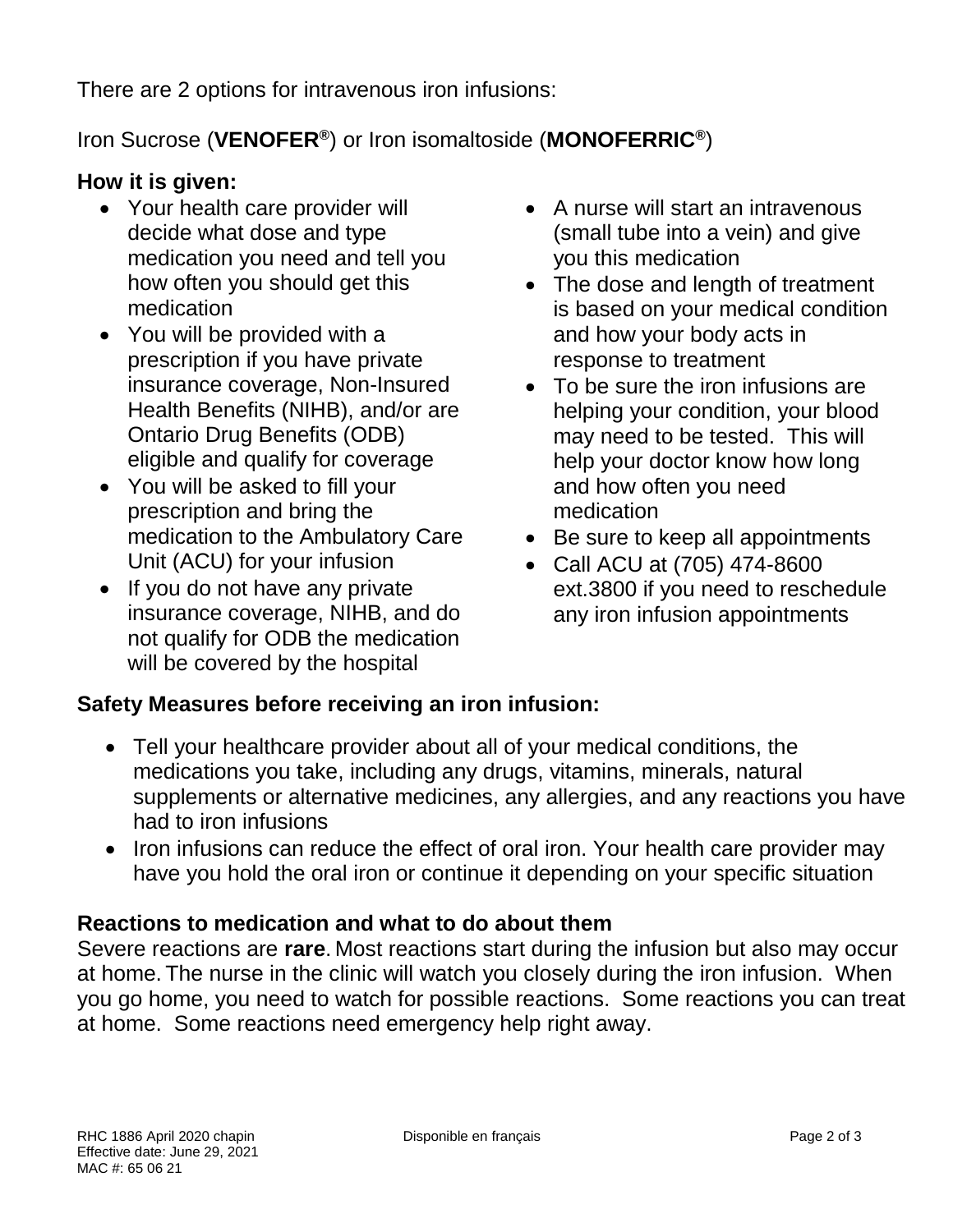There are 2 options for intravenous iron infusions:

# Iron Sucrose (**VENOFER®** ) or Iron isomaltoside (**MONOFERRIC®** )

#### **How it is given:**

- Your health care provider will decide what dose and type medication you need and tell you how often you should get this medication
- You will be provided with a prescription if you have private insurance coverage, Non-Insured Health Benefits (NIHB), and/or are Ontario Drug Benefits (ODB) eligible and qualify for coverage
- You will be asked to fill your prescription and bring the medication to the Ambulatory Care Unit (ACU) for your infusion
- If you do not have any private insurance coverage, NIHB, and do not qualify for ODB the medication will be covered by the hospital
- A nurse will start an intravenous (small tube into a vein) and give you this medication
- The dose and length of treatment is based on your medical condition and how your body acts in response to treatment
- To be sure the iron infusions are helping your condition, your blood may need to be tested. This will help your doctor know how long and how often you need medication
- Be sure to keep all appointments
- Call ACU at (705) 474-8600 ext.3800 if you need to reschedule any iron infusion appointments

#### **Safety Measures before receiving an iron infusion:**

- Tell your healthcare provider about all of your medical conditions, the medications you take, including any drugs, vitamins, minerals, natural supplements or alternative medicines, any allergies, and any reactions you have had to iron infusions
- Iron infusions can reduce the effect of oral iron. Your health care provider may have you hold the oral iron or continue it depending on your specific situation

#### **Reactions to medication and what to do about them**

Severe reactions are **rare**. Most reactions start during the infusion but also may occur at home. The nurse in the clinic will watch you closely during the iron infusion. When you go home, you need to watch for possible reactions. Some reactions you can treat at home. Some reactions need emergency help right away.